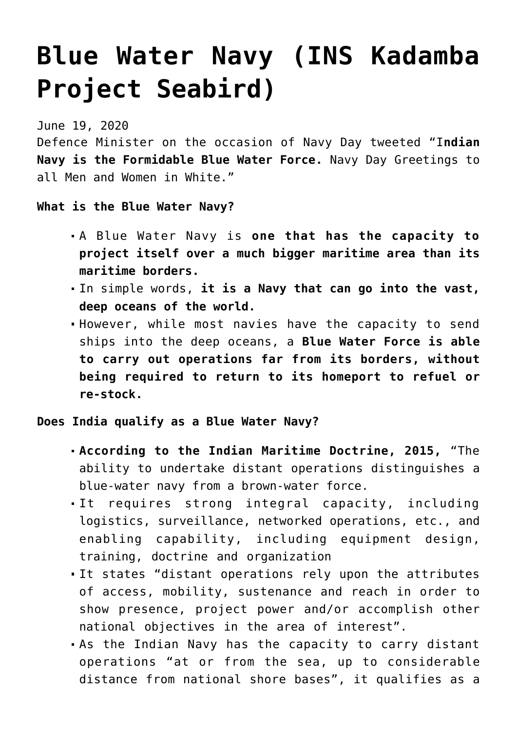## **[Blue Water Navy \(INS Kadamba](https://journalsofindia.com/blue-water-navy-ins-kadamba-project-seabird/) [Project Seabird\)](https://journalsofindia.com/blue-water-navy-ins-kadamba-project-seabird/)**

June 19, 2020

Defence Minister on the occasion of Navy Day tweeted "I**ndian Navy is the Formidable Blue Water Force.** Navy Day Greetings to all Men and Women in White."

## **What is the Blue Water Navy?**

- A Blue Water Navy is **one that has the capacity to project itself over a much bigger maritime area than its maritime borders.**
- In simple words, **it is a Navy that can go into the vast, deep oceans of the world.**
- However, while most navies have the capacity to send ships into the deep oceans, a **Blue Water Force is able to carry out operations far from its borders, without being required to return to its homeport to refuel or re-stock.**

## **Does India qualify as a Blue Water Navy?**

- **According to the Indian Maritime Doctrine, 2015,** "The ability to undertake distant operations distinguishes a blue-water navy from a brown-water force.
- It requires strong integral capacity, including logistics, surveillance, networked operations, etc., and enabling capability, including equipment design, training, doctrine and organization
- It states "distant operations rely upon the attributes of access, mobility, sustenance and reach in order to show presence, project power and/or accomplish other national objectives in the area of interest".
- As the Indian Navy has the capacity to carry distant operations "at or from the sea, up to considerable distance from national shore bases", it qualifies as a